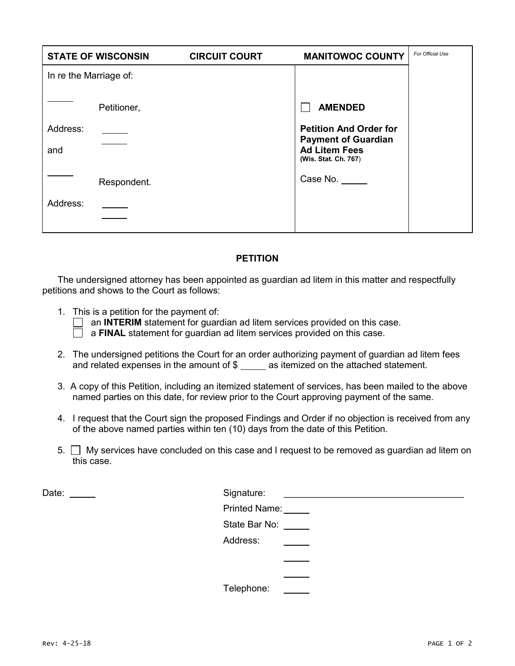|                        | <b>STATE OF WISCONSIN</b> | <b>CIRCUIT COURT</b> | <b>MANITOWOC COUNTY</b>                                                                                     | For Official Use |
|------------------------|---------------------------|----------------------|-------------------------------------------------------------------------------------------------------------|------------------|
| In re the Marriage of: |                           |                      |                                                                                                             |                  |
|                        | Petitioner,               |                      | <b>AMENDED</b>                                                                                              |                  |
| Address:<br>and        |                           |                      | <b>Petition And Order for</b><br><b>Payment of Guardian</b><br><b>Ad Litem Fees</b><br>(Wis. Stat. Ch. 767) |                  |
|                        | Respondent.               |                      | Case No. _____                                                                                              |                  |
| Address:               |                           |                      |                                                                                                             |                  |

## **PETITION**

The undersigned attorney has been appointed as guardian ad litem in this matter and respectfully petitions and shows to the Court as follows:

1. This is a petition for the payment of:

an **INTERIM** statement for guardian ad litem services provided on this case.

a **FINAL** statement for guardian ad litem services provided on this case.

- 2. The undersigned petitions the Court for an order authorizing payment of guardian ad litem fees and related expenses in the amount of  $\$$  \_\_\_\_\_ as itemized on the attached statement.
- 3. A copy of this Petition, including an itemized statement of services, has been mailed to the above named parties on this date, for review prior to the Court approving payment of the same.
- 4. I request that the Court sign the proposed Findings and Order if no objection is received from any of the above named parties within ten (10) days from the date of this Petition.
- $5.$   $\Box$  My services have concluded on this case and I request to be removed as guardian ad litem on this case.

Date:

| Signature:           |  |
|----------------------|--|
| <b>Printed Name:</b> |  |
| State Bar No:        |  |
| Address:             |  |
|                      |  |
|                      |  |
| Telephone:           |  |